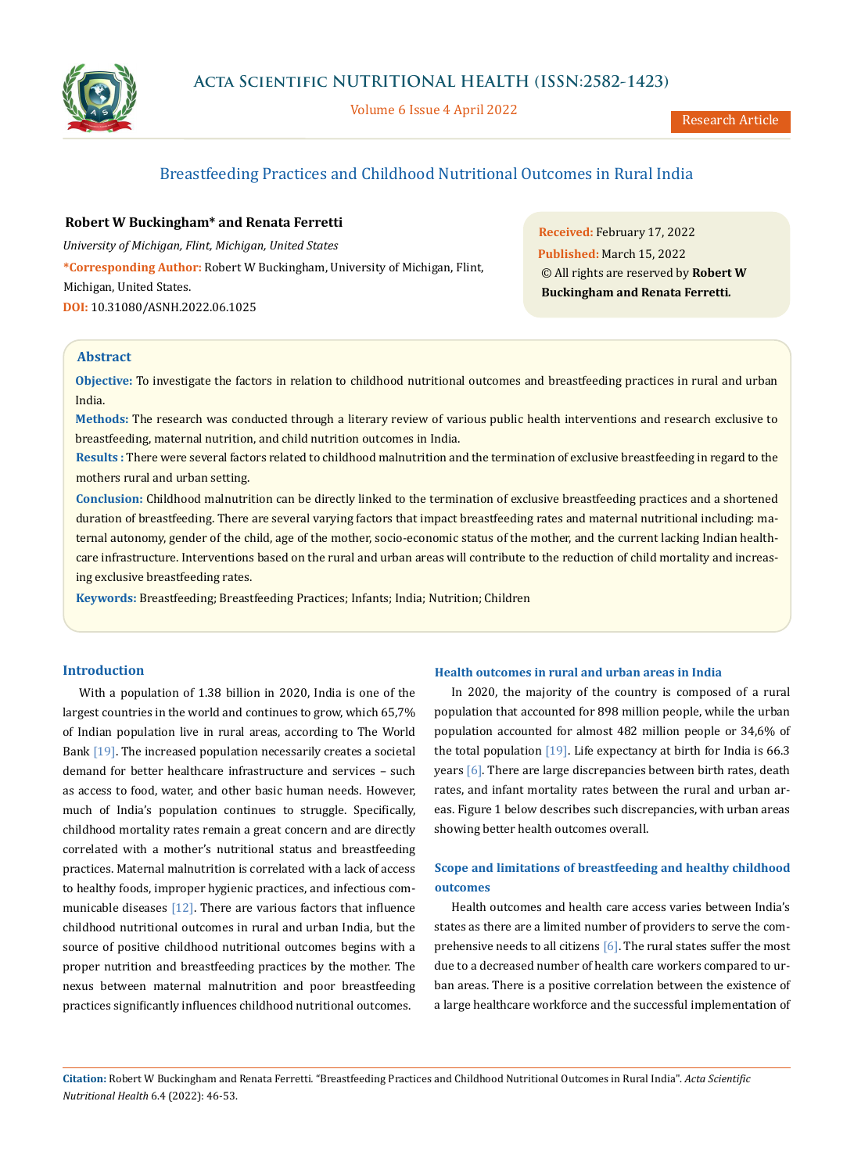

Volume 6 Issue 4 April 2022

# Breastfeeding Practices and Childhood Nutritional Outcomes in Rural India

## **Robert W Buckingham\* and Renata Ferretti**

*University of Michigan, Flint, Michigan, United States* **\*Corresponding Author:** Robert W Buckingham, University of Michigan, Flint, Michigan, United States. **DOI:** [10.31080/ASNH.2022.06.1025](https://actascientific.com/ASNH/pdf/ASNH-06-1025.pdf)

**Received:** February 17, 2022 **Published:** March 15, 2022 © All rights are reserved by **Robert W Buckingham and Renata Ferretti***.*

## **Abstract**

**Objective:** To investigate the factors in relation to childhood nutritional outcomes and breastfeeding practices in rural and urban India.

**Methods:** The research was conducted through a literary review of various public health interventions and research exclusive to breastfeeding, maternal nutrition, and child nutrition outcomes in India.

**Results :** There were several factors related to childhood malnutrition and the termination of exclusive breastfeeding in regard to the mothers rural and urban setting.

**Conclusion:** Childhood malnutrition can be directly linked to the termination of exclusive breastfeeding practices and a shortened duration of breastfeeding. There are several varying factors that impact breastfeeding rates and maternal nutritional including: maternal autonomy, gender of the child, age of the mother, socio-economic status of the mother, and the current lacking Indian healthcare infrastructure. Interventions based on the rural and urban areas will contribute to the reduction of child mortality and increasing exclusive breastfeeding rates.

**Keywords:** Breastfeeding; Breastfeeding Practices; Infants; India; Nutrition; Children

## **Introduction**

With a population of 1.38 billion in 2020, India is one of the largest countries in the world and continues to grow, which 65,7% of Indian population live in rural areas, according to The World Bank [19]. The increased population necessarily creates a societal demand for better healthcare infrastructure and services – such as access to food, water, and other basic human needs. However, much of India's population continues to struggle. Specifically, childhood mortality rates remain a great concern and are directly correlated with a mother's nutritional status and breastfeeding practices. Maternal malnutrition is correlated with a lack of access to healthy foods, improper hygienic practices, and infectious communicable diseases [12]. There are various factors that influence childhood nutritional outcomes in rural and urban India, but the source of positive childhood nutritional outcomes begins with a proper nutrition and breastfeeding practices by the mother. The nexus between maternal malnutrition and poor breastfeeding practices significantly influences childhood nutritional outcomes.

### **Health outcomes in rural and urban areas in India**

In 2020, the majority of the country is composed of a rural population that accounted for 898 million people, while the urban population accounted for almost 482 million people or 34,6% of the total population  $[19]$ . Life expectancy at birth for India is 66.3 years [6]. There are large discrepancies between birth rates, death rates, and infant mortality rates between the rural and urban areas. Figure 1 below describes such discrepancies, with urban areas showing better health outcomes overall.

## **Scope and limitations of breastfeeding and healthy childhood outcomes**

Health outcomes and health care access varies between India's states as there are a limited number of providers to serve the comprehensive needs to all citizens  $[6]$ . The rural states suffer the most due to a decreased number of health care workers compared to urban areas. There is a positive correlation between the existence of a large healthcare workforce and the successful implementation of

**Citation:** Robert W Buckingham and Renata Ferretti*.* "Breastfeeding Practices and Childhood Nutritional Outcomes in Rural India". *Acta Scientific Nutritional Health* 6.4 (2022): 46-53.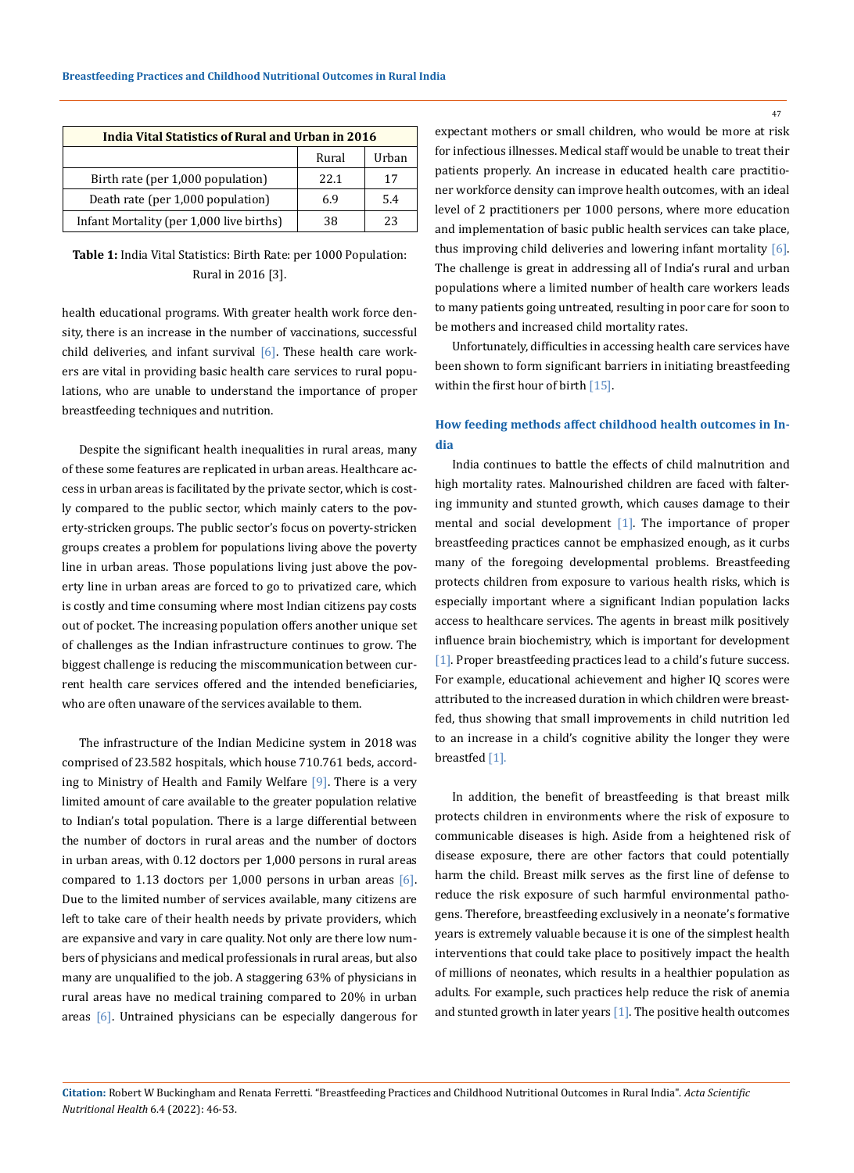| <b>India Vital Statistics of Rural and Urban in 2016</b> |       |       |
|----------------------------------------------------------|-------|-------|
|                                                          | Rural | Urban |
| Birth rate (per 1,000 population)                        | 22.1  | 17    |
| Death rate (per 1,000 population)                        | 6.9   | 5.4   |
| Infant Mortality (per 1,000 live births)                 | 38    | 23    |

**Table 1:** India Vital Statistics: Birth Rate: per 1000 Population: Rural in 2016 [3].

health educational programs. With greater health work force density, there is an increase in the number of vaccinations, successful child deliveries, and infant survival  $[6]$ . These health care workers are vital in providing basic health care services to rural populations, who are unable to understand the importance of proper breastfeeding techniques and nutrition.

Despite the significant health inequalities in rural areas, many of these some features are replicated in urban areas. Healthcare access in urban areas is facilitated by the private sector, which is costly compared to the public sector, which mainly caters to the poverty-stricken groups. The public sector's focus on poverty-stricken groups creates a problem for populations living above the poverty line in urban areas. Those populations living just above the poverty line in urban areas are forced to go to privatized care, which is costly and time consuming where most Indian citizens pay costs out of pocket. The increasing population offers another unique set of challenges as the Indian infrastructure continues to grow. The biggest challenge is reducing the miscommunication between current health care services offered and the intended beneficiaries, who are often unaware of the services available to them.

The infrastructure of the Indian Medicine system in 2018 was comprised of 23.582 hospitals, which house 710.761 beds, according to Ministry of Health and Family Welfare [9]. There is a very limited amount of care available to the greater population relative to Indian's total population. There is a large differential between the number of doctors in rural areas and the number of doctors in urban areas, with 0.12 doctors per 1,000 persons in rural areas compared to 1.13 doctors per 1,000 persons in urban areas  $[6]$ . Due to the limited number of services available, many citizens are left to take care of their health needs by private providers, which are expansive and vary in care quality. Not only are there low numbers of physicians and medical professionals in rural areas, but also many are unqualified to the job. A staggering 63% of physicians in rural areas have no medical training compared to 20% in urban areas [6]. Untrained physicians can be especially dangerous for expectant mothers or small children, who would be more at risk for infectious illnesses. Medical staff would be unable to treat their patients properly. An increase in educated health care practitioner workforce density can improve health outcomes, with an ideal level of 2 practitioners per 1000 persons, where more education and implementation of basic public health services can take place, thus improving child deliveries and lowering infant mortality [6]. The challenge is great in addressing all of India's rural and urban populations where a limited number of health care workers leads to many patients going untreated, resulting in poor care for soon to be mothers and increased child mortality rates.

Unfortunately, difficulties in accessing health care services have been shown to form significant barriers in initiating breastfeeding within the first hour of birth [15].

## **How feeding methods affect childhood health outcomes in India**

India continues to battle the effects of child malnutrition and high mortality rates. Malnourished children are faced with faltering immunity and stunted growth, which causes damage to their mental and social development [1]. The importance of proper breastfeeding practices cannot be emphasized enough, as it curbs many of the foregoing developmental problems. Breastfeeding protects children from exposure to various health risks, which is especially important where a significant Indian population lacks access to healthcare services. The agents in breast milk positively influence brain biochemistry, which is important for development [1]. Proper breastfeeding practices lead to a child's future success. For example, educational achievement and higher IQ scores were attributed to the increased duration in which children were breastfed, thus showing that small improvements in child nutrition led to an increase in a child's cognitive ability the longer they were breastfed [1].

In addition, the benefit of breastfeeding is that breast milk protects children in environments where the risk of exposure to communicable diseases is high. Aside from a heightened risk of disease exposure, there are other factors that could potentially harm the child. Breast milk serves as the first line of defense to reduce the risk exposure of such harmful environmental pathogens. Therefore, breastfeeding exclusively in a neonate's formative years is extremely valuable because it is one of the simplest health interventions that could take place to positively impact the health of millions of neonates, which results in a healthier population as adults. For example, such practices help reduce the risk of anemia and stunted growth in later years [1]. The positive health outcomes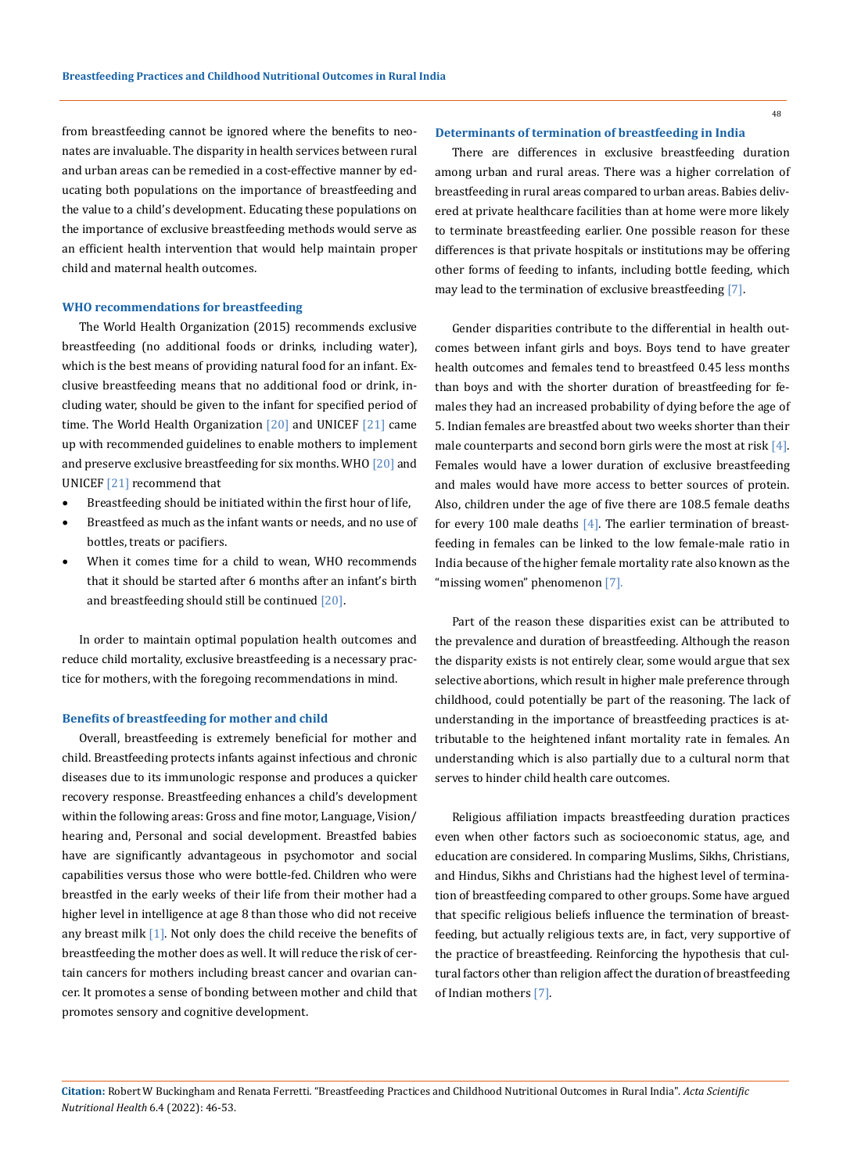from breastfeeding cannot be ignored where the benefits to neonates are invaluable. The disparity in health services between rural and urban areas can be remedied in a cost-effective manner by educating both populations on the importance of breastfeeding and the value to a child's development. Educating these populations on the importance of exclusive breastfeeding methods would serve as an efficient health intervention that would help maintain proper child and maternal health outcomes.

#### **WHO recommendations for breastfeeding**

The World Health Organization (2015) recommends exclusive breastfeeding (no additional foods or drinks, including water), which is the best means of providing natural food for an infant. Exclusive breastfeeding means that no additional food or drink, including water, should be given to the infant for specified period of time. The World Health Organization [20] and UNICEF [21] came up with recommended guidelines to enable mothers to implement and preserve exclusive breastfeeding for six months. WHO [20] and UNICEF [21] recommend that

- Breastfeeding should be initiated within the first hour of life,
- • Breastfeed as much as the infant wants or needs, and no use of bottles, treats or pacifiers.
- When it comes time for a child to wean, WHO recommends that it should be started after 6 months after an infant's birth and breastfeeding should still be continued [20].

In order to maintain optimal population health outcomes and reduce child mortality, exclusive breastfeeding is a necessary practice for mothers, with the foregoing recommendations in mind.

#### **Benefits of breastfeeding for mother and child**

Overall, breastfeeding is extremely beneficial for mother and child. Breastfeeding protects infants against infectious and chronic diseases due to its immunologic response and produces a quicker recovery response. Breastfeeding enhances a child's development within the following areas: Gross and fine motor, Language, Vision/ hearing and, Personal and social development. Breastfed babies have are significantly advantageous in psychomotor and social capabilities versus those who were bottle-fed. Children who were breastfed in the early weeks of their life from their mother had a higher level in intelligence at age 8 than those who did not receive any breast milk  $[1]$ . Not only does the child receive the benefits of breastfeeding the mother does as well. It will reduce the risk of certain cancers for mothers including breast cancer and ovarian cancer. It promotes a sense of bonding between mother and child that promotes sensory and cognitive development.

#### **Determinants of termination of breastfeeding in India**

There are differences in exclusive breastfeeding duration among urban and rural areas. There was a higher correlation of breastfeeding in rural areas compared to urban areas. Babies delivered at private healthcare facilities than at home were more likely to terminate breastfeeding earlier. One possible reason for these differences is that private hospitals or institutions may be offering other forms of feeding to infants, including bottle feeding, which may lead to the termination of exclusive breastfeeding [7].

Gender disparities contribute to the differential in health outcomes between infant girls and boys. Boys tend to have greater health outcomes and females tend to breastfeed 0.45 less months than boys and with the shorter duration of breastfeeding for females they had an increased probability of dying before the age of 5. Indian females are breastfed about two weeks shorter than their male counterparts and second born girls were the most at risk [4]. Females would have a lower duration of exclusive breastfeeding and males would have more access to better sources of protein. Also, children under the age of five there are 108.5 female deaths for every 100 male deaths [4]. The earlier termination of breastfeeding in females can be linked to the low female-male ratio in India because of the higher female mortality rate also known as the "missing women" phenomenon [7].

Part of the reason these disparities exist can be attributed to the prevalence and duration of breastfeeding. Although the reason the disparity exists is not entirely clear, some would argue that sex selective abortions, which result in higher male preference through childhood, could potentially be part of the reasoning. The lack of understanding in the importance of breastfeeding practices is attributable to the heightened infant mortality rate in females. An understanding which is also partially due to a cultural norm that serves to hinder child health care outcomes.

Religious affiliation impacts breastfeeding duration practices even when other factors such as socioeconomic status, age, and education are considered. In comparing Muslims, Sikhs, Christians, and Hindus, Sikhs and Christians had the highest level of termination of breastfeeding compared to other groups. Some have argued that specific religious beliefs influence the termination of breastfeeding, but actually religious texts are, in fact, very supportive of the practice of breastfeeding. Reinforcing the hypothesis that cultural factors other than religion affect the duration of breastfeeding of Indian mothers [7].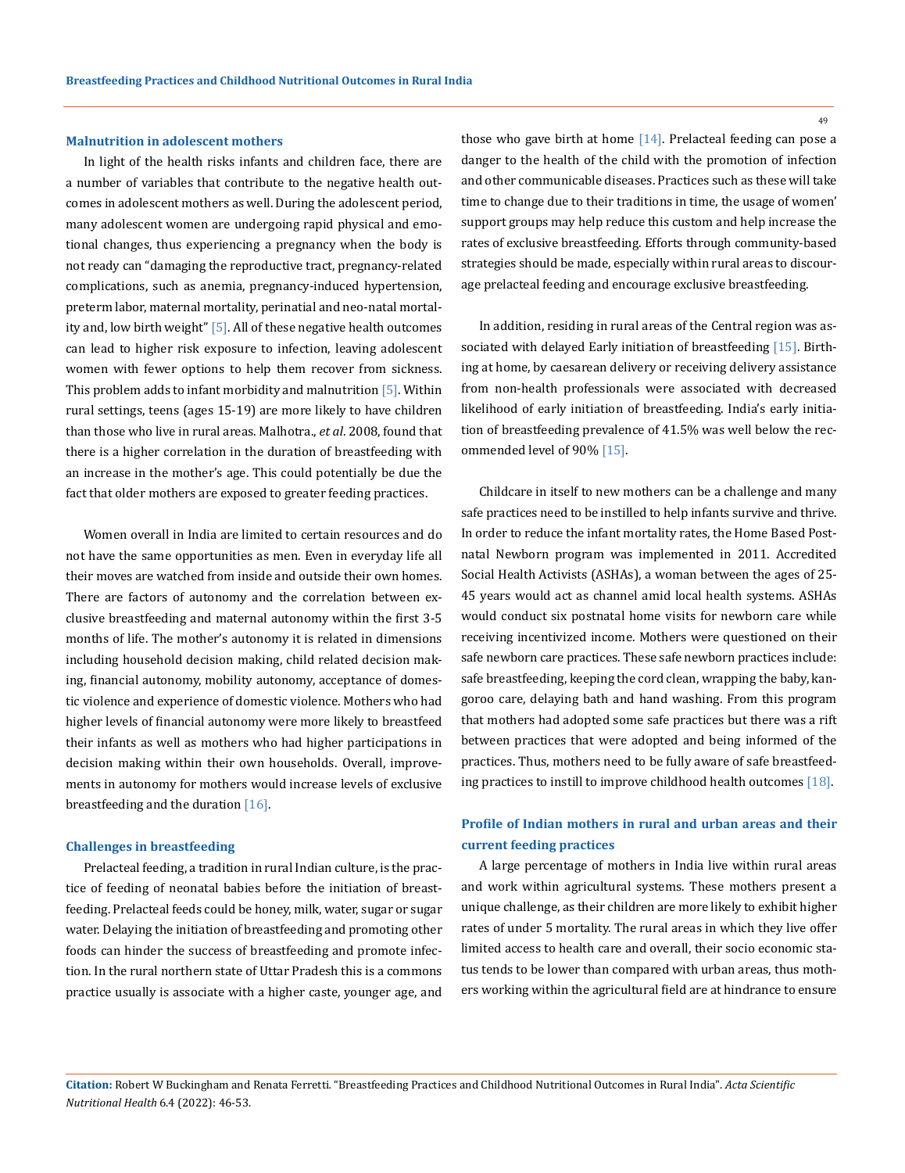#### **Malnutrition in adolescent mothers**

In light of the health risks infants and children face, there are a number of variables that contribute to the negative health outcomes in adolescent mothers as well. During the adolescent period, many adolescent women are undergoing rapid physical and emotional changes, thus experiencing a pregnancy when the body is not ready can "damaging the reproductive tract, pregnancy-related complications, such as anemia, pregnancy-induced hypertension, preterm labor, maternal mortality, perinatial and neo-natal mortality and, low birth weight" [5]. All of these negative health outcomes can lead to higher risk exposure to infection, leaving adolescent women with fewer options to help them recover from sickness. This problem adds to infant morbidity and malnutrition [5]. Within rural settings, teens (ages 15-19) are more likely to have children than those who live in rural areas. Malhotra., *et al*. 2008, found that there is a higher correlation in the duration of breastfeeding with an increase in the mother's age. This could potentially be due the fact that older mothers are exposed to greater feeding practices.

Women overall in India are limited to certain resources and do not have the same opportunities as men. Even in everyday life all their moves are watched from inside and outside their own homes. There are factors of autonomy and the correlation between exclusive breastfeeding and maternal autonomy within the first 3-5 months of life. The mother's autonomy it is related in dimensions including household decision making, child related decision making, financial autonomy, mobility autonomy, acceptance of domestic violence and experience of domestic violence. Mothers who had higher levels of financial autonomy were more likely to breastfeed their infants as well as mothers who had higher participations in decision making within their own households. Overall, improvements in autonomy for mothers would increase levels of exclusive breastfeeding and the duration [16].

#### **Challenges in breastfeeding**

Prelacteal feeding, a tradition in rural Indian culture, is the practice of feeding of neonatal babies before the initiation of breastfeeding. Prelacteal feeds could be honey, milk, water, sugar or sugar water. Delaying the initiation of breastfeeding and promoting other foods can hinder the success of breastfeeding and promote infection. In the rural northern state of Uttar Pradesh this is a commons practice usually is associate with a higher caste, younger age, and those who gave birth at home  $[14]$ . Prelacteal feeding can pose a danger to the health of the child with the promotion of infection and other communicable diseases. Practices such as these will take time to change due to their traditions in time, the usage of women' support groups may help reduce this custom and help increase the rates of exclusive breastfeeding. Efforts through community-based strategies should be made, especially within rural areas to discourage prelacteal feeding and encourage exclusive breastfeeding.

In addition, residing in rural areas of the Central region was associated with delayed Early initiation of breastfeeding [15]. Birthing at home, by caesarean delivery or receiving delivery assistance from non-health professionals were associated with decreased likelihood of early initiation of breastfeeding. India's early initiation of breastfeeding prevalence of 41.5% was well below the recommended level of 90% [15].

Childcare in itself to new mothers can be a challenge and many safe practices need to be instilled to help infants survive and thrive. In order to reduce the infant mortality rates, the Home Based Postnatal Newborn program was implemented in 2011. Accredited Social Health Activists (ASHAs), a woman between the ages of 25- 45 years would act as channel amid local health systems. ASHAs would conduct six postnatal home visits for newborn care while receiving incentivized income. Mothers were questioned on their safe newborn care practices. These safe newborn practices include: safe breastfeeding, keeping the cord clean, wrapping the baby, kangoroo care, delaying bath and hand washing. From this program that mothers had adopted some safe practices but there was a rift between practices that were adopted and being informed of the practices. Thus, mothers need to be fully aware of safe breastfeeding practices to instill to improve childhood health outcomes [18].

## **Profile of Indian mothers in rural and urban areas and their current feeding practices**

A large percentage of mothers in India live within rural areas and work within agricultural systems. These mothers present a unique challenge, as their children are more likely to exhibit higher rates of under 5 mortality. The rural areas in which they live offer limited access to health care and overall, their socio economic status tends to be lower than compared with urban areas, thus mothers working within the agricultural field are at hindrance to ensure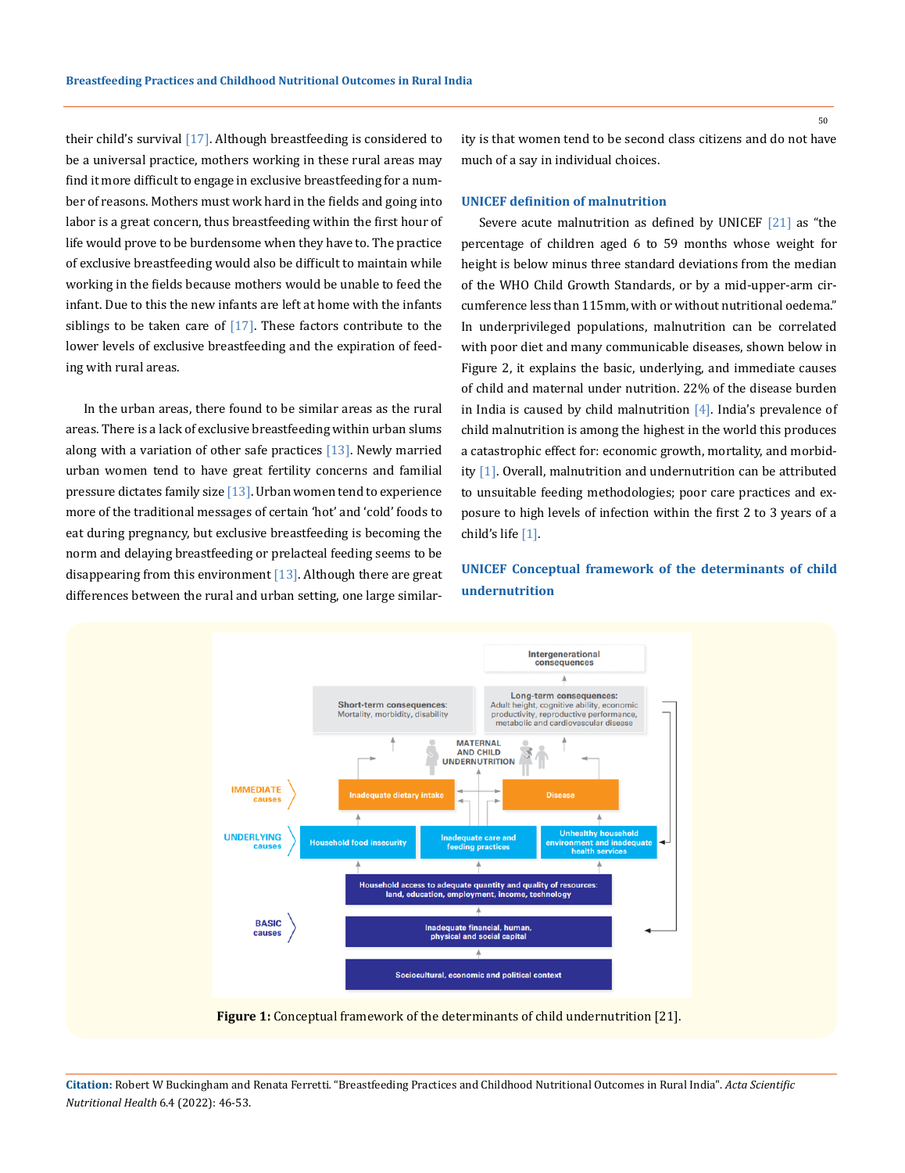their child's survival [17]. Although breastfeeding is considered to be a universal practice, mothers working in these rural areas may find it more difficult to engage in exclusive breastfeeding for a number of reasons. Mothers must work hard in the fields and going into labor is a great concern, thus breastfeeding within the first hour of life would prove to be burdensome when they have to. The practice of exclusive breastfeeding would also be difficult to maintain while working in the fields because mothers would be unable to feed the infant. Due to this the new infants are left at home with the infants siblings to be taken care of [17]. These factors contribute to the lower levels of exclusive breastfeeding and the expiration of feeding with rural areas.

In the urban areas, there found to be similar areas as the rural areas. There is a lack of exclusive breastfeeding within urban slums along with a variation of other safe practices  $[13]$ . Newly married urban women tend to have great fertility concerns and familial pressure dictates family size  $[13]$ . Urban women tend to experience more of the traditional messages of certain 'hot' and 'cold' foods to eat during pregnancy, but exclusive breastfeeding is becoming the norm and delaying breastfeeding or prelacteal feeding seems to be disappearing from this environment  $[13]$ . Although there are great differences between the rural and urban setting, one large similarity is that women tend to be second class citizens and do not have much of a say in individual choices.

#### **UNICEF definition of malnutrition**

Severe acute malnutrition as defined by UNICEF  $[21]$  as "the percentage of children aged 6 to 59 months whose weight for height is below minus three standard deviations from the median of the WHO Child Growth Standards, or by a mid-upper-arm circumference less than 115mm, with or without nutritional oedema." In underprivileged populations, malnutrition can be correlated with poor diet and many communicable diseases, shown below in Figure 2, it explains the basic, underlying, and immediate causes of child and maternal under nutrition. 22% of the disease burden in India is caused by child malnutrition  $[4]$ . India's prevalence of child malnutrition is among the highest in the world this produces a catastrophic effect for: economic growth, mortality, and morbidity [1]. Overall, malnutrition and undernutrition can be attributed to unsuitable feeding methodologies; poor care practices and exposure to high levels of infection within the first 2 to 3 years of a child's life [1].

**UNICEF Conceptual framework of the determinants of child undernutrition**



**Figure 1:** Conceptual framework of the determinants of child undernutrition [21].

**Citation:** Robert W Buckingham and Renata Ferretti*.* "Breastfeeding Practices and Childhood Nutritional Outcomes in Rural India". *Acta Scientific Nutritional Health* 6.4 (2022): 46-53.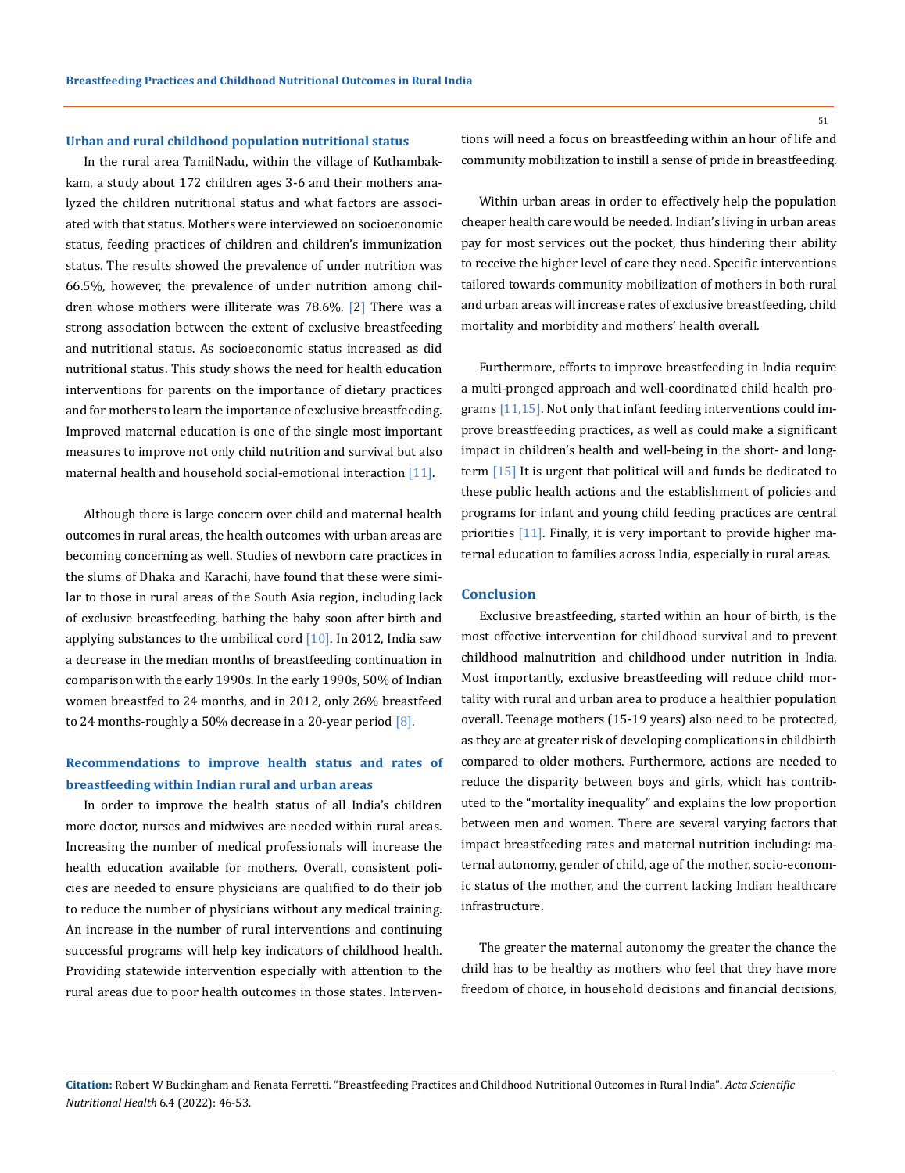#### **Urban and rural childhood population nutritional status**

In the rural area TamilNadu, within the village of Kuthambakkam, a study about 172 children ages 3-6 and their mothers analyzed the children nutritional status and what factors are associated with that status. Mothers were interviewed on socioeconomic status, feeding practices of children and children's immunization status. The results showed the prevalence of under nutrition was 66.5%, however, the prevalence of under nutrition among children whose mothers were illiterate was 78.6%. [2] There was a strong association between the extent of exclusive breastfeeding and nutritional status. As socioeconomic status increased as did nutritional status. This study shows the need for health education interventions for parents on the importance of dietary practices and for mothers to learn the importance of exclusive breastfeeding. Improved maternal education is one of the single most important measures to improve not only child nutrition and survival but also maternal health and household social-emotional interaction [11].

Although there is large concern over child and maternal health outcomes in rural areas, the health outcomes with urban areas are becoming concerning as well. Studies of newborn care practices in the slums of Dhaka and Karachi, have found that these were similar to those in rural areas of the South Asia region, including lack of exclusive breastfeeding, bathing the baby soon after birth and applying substances to the umbilical cord  $[10]$ . In 2012, India saw a decrease in the median months of breastfeeding continuation in comparison with the early 1990s. In the early 1990s, 50% of Indian women breastfed to 24 months, and in 2012, only 26% breastfeed to 24 months-roughly a 50% decrease in a 20-year period  $[8]$ .

## **Recommendations to improve health status and rates of breastfeeding within Indian rural and urban areas**

In order to improve the health status of all India's children more doctor, nurses and midwives are needed within rural areas. Increasing the number of medical professionals will increase the health education available for mothers. Overall, consistent policies are needed to ensure physicians are qualified to do their job to reduce the number of physicians without any medical training. An increase in the number of rural interventions and continuing successful programs will help key indicators of childhood health. Providing statewide intervention especially with attention to the rural areas due to poor health outcomes in those states. Interventions will need a focus on breastfeeding within an hour of life and community mobilization to instill a sense of pride in breastfeeding.

Within urban areas in order to effectively help the population cheaper health care would be needed. Indian's living in urban areas pay for most services out the pocket, thus hindering their ability to receive the higher level of care they need. Specific interventions tailored towards community mobilization of mothers in both rural and urban areas will increase rates of exclusive breastfeeding, child mortality and morbidity and mothers' health overall.

Furthermore, efforts to improve breastfeeding in India require a multi-pronged approach and well-coordinated child health programs [11,15]. Not only that infant feeding interventions could improve breastfeeding practices, as well as could make a significant impact in children's health and well-being in the short- and longterm [15] It is urgent that political will and funds be dedicated to these public health actions and the establishment of policies and programs for infant and young child feeding practices are central priorities [11]. Finally, it is very important to provide higher maternal education to families across India, especially in rural areas.

#### **Conclusion**

Exclusive breastfeeding, started within an hour of birth, is the most effective intervention for childhood survival and to prevent childhood malnutrition and childhood under nutrition in India. Most importantly, exclusive breastfeeding will reduce child mortality with rural and urban area to produce a healthier population overall. Teenage mothers (15-19 years) also need to be protected, as they are at greater risk of developing complications in childbirth compared to older mothers. Furthermore, actions are needed to reduce the disparity between boys and girls, which has contributed to the "mortality inequality" and explains the low proportion between men and women. There are several varying factors that impact breastfeeding rates and maternal nutrition including: maternal autonomy, gender of child, age of the mother, socio-economic status of the mother, and the current lacking Indian healthcare infrastructure.

The greater the maternal autonomy the greater the chance the child has to be healthy as mothers who feel that they have more freedom of choice, in household decisions and financial decisions,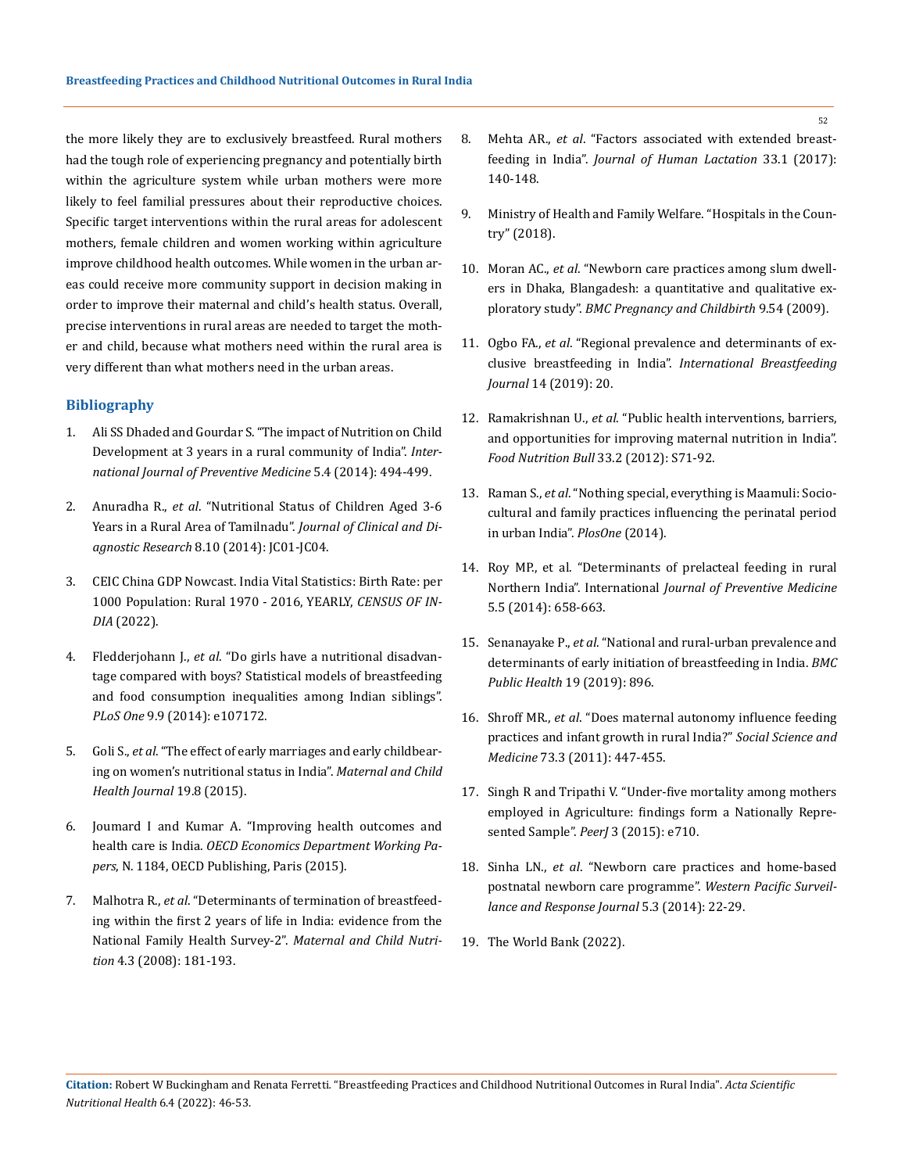the more likely they are to exclusively breastfeed. Rural mothers had the tough role of experiencing pregnancy and potentially birth within the agriculture system while urban mothers were more likely to feel familial pressures about their reproductive choices. Specific target interventions within the rural areas for adolescent mothers, female children and women working within agriculture improve childhood health outcomes. While women in the urban areas could receive more community support in decision making in order to improve their maternal and child's health status. Overall, precise interventions in rural areas are needed to target the mother and child, because what mothers need within the rural area is very different than what mothers need in the urban areas.

### **Bibliography**

- 1. [Ali SS Dhaded and Gourdar S. "The impact of Nutrition on Child](https://pubmed.ncbi.nlm.nih.gov/24829738/)  [Development at 3 years in a rural community of India".](https://pubmed.ncbi.nlm.nih.gov/24829738/) *Inter[national Journal of Preventive Medicine](https://pubmed.ncbi.nlm.nih.gov/24829738/)* 5.4 (2014): 494-499.
- 2. Anuradha R., *et al*[. "Nutritional Status of Children Aged 3-6](https://www.ncbi.nlm.nih.gov/pmc/articles/PMC4253188/)  [Years in a Rural Area of Tamilnadu".](https://www.ncbi.nlm.nih.gov/pmc/articles/PMC4253188/) *Journal of Clinical and Diagnostic Research* [8.10 \(2014\): JC01-JC04.](https://www.ncbi.nlm.nih.gov/pmc/articles/PMC4253188/)
- 3. [CEIC China GDP Nowcast. India Vital Statistics: Birth Rate: per](https://www.ceicdata.com/en/india/vital-statistics/vital-statistics-birth-rate-per-1000-population-rural)  [1000 Population: Rural 1970 - 2016, YEARLY,](https://www.ceicdata.com/en/india/vital-statistics/vital-statistics-birth-rate-per-1000-population-rural) *CENSUS OF IN-DIA* [\(2022\).](https://www.ceicdata.com/en/india/vital-statistics/vital-statistics-birth-rate-per-1000-population-rural)
- 4. Fledderjohann J., *et al*[. "Do girls have a nutritional disadvan](https://pubmed.ncbi.nlm.nih.gov/25229235/)[tage compared with boys? Statistical models of breastfeeding](https://pubmed.ncbi.nlm.nih.gov/25229235/)  [and food consumption inequalities among Indian siblings".](https://pubmed.ncbi.nlm.nih.gov/25229235/)  *PLoS One* [9.9 \(2014\): e107172.](https://pubmed.ncbi.nlm.nih.gov/25229235/)
- 5. Goli S., *et al*[. "The effect of early marriages and early childbear](https://pubmed.ncbi.nlm.nih.gov/25656721/)[ing on women's nutritional status in India".](https://pubmed.ncbi.nlm.nih.gov/25656721/) *Maternal and Child [Health Journal](https://pubmed.ncbi.nlm.nih.gov/25656721/)* 19.8 (2015).
- 6. [Joumard I and Kumar A. "Improving health outcomes and](https://www.oecd-ilibrary.org/docserver/5js7t9ptcr26-en.pdf?expires=1647324343&id=id&accname=guest&checksum=D72383EB4C4176D99B01BB99579E8EE5)  health care is India. *[OECD Economics Department Working Pa](https://www.oecd-ilibrary.org/docserver/5js7t9ptcr26-en.pdf?expires=1647324343&id=id&accname=guest&checksum=D72383EB4C4176D99B01BB99579E8EE5)pers*[, N. 1184, OECD Publishing, Paris \(2015\).](https://www.oecd-ilibrary.org/docserver/5js7t9ptcr26-en.pdf?expires=1647324343&id=id&accname=guest&checksum=D72383EB4C4176D99B01BB99579E8EE5)
- 7. Malhotra R., *et al*[. "Determinants of termination of breastfeed](https://pubmed.ncbi.nlm.nih.gov/18582352/)[ing within the first 2 years of life in India: evidence from the](https://pubmed.ncbi.nlm.nih.gov/18582352/)  [National Family Health Survey-2".](https://pubmed.ncbi.nlm.nih.gov/18582352/) *Maternal and Child Nutrition* [4.3 \(2008\): 181-193.](https://pubmed.ncbi.nlm.nih.gov/18582352/)
- 8. Mehta AR., *et al*[. "Factors associated with extended breast](https://pubmed.ncbi.nlm.nih.gov/28099045/)feeding in India". *[Journal of Human Lactation](https://pubmed.ncbi.nlm.nih.gov/28099045/)* 33.1 (2017): [140-148.](https://pubmed.ncbi.nlm.nih.gov/28099045/)
- 9. [Ministry of Health and Family Welfare. "Hospitals in the Coun](https://pib.gov.in/PressReleasePage.aspx?PRID=1539877)[try" \(2018\).](https://pib.gov.in/PressReleasePage.aspx?PRID=1539877)
- 10. Moran AC., *et al*[. "Newborn care practices among slum dwell](https://bmcpregnancychildbirth.biomedcentral.com/articles/10.1186/1471-2393-9-54)[ers in Dhaka, Blangadesh: a quantitative and qualitative ex](https://bmcpregnancychildbirth.biomedcentral.com/articles/10.1186/1471-2393-9-54)ploratory study". *[BMC Pregnancy and Childbirth](https://bmcpregnancychildbirth.biomedcentral.com/articles/10.1186/1471-2393-9-54)* 9.54 (2009).
- 11. Ogbo FA., *et al*[. "Regional prevalence and determinants of ex](https://pubmed.ncbi.nlm.nih.gov/31131015/)clusive breastfeeding in India". *[International Breastfeeding](https://pubmed.ncbi.nlm.nih.gov/31131015/)  Journal* [14 \(2019\): 20.](https://pubmed.ncbi.nlm.nih.gov/31131015/)
- 12. Ramakrishnan U., *et al*[. "Public health interventions, barriers,](https://pubmed.ncbi.nlm.nih.gov/22913108/)  [and opportunities for improving maternal nutrition in India".](https://pubmed.ncbi.nlm.nih.gov/22913108/)  *[Food Nutrition Bull](https://pubmed.ncbi.nlm.nih.gov/22913108/)* 33.2 (2012): S71-92.
- 13. Raman S., *et al*[. "Nothing special, everything is Maamuli: Socio](https://journals.plos.org/plosone/article?id=10.1371/journal.pone.0111900)[cultural and family practices influencing the perinatal period](https://journals.plos.org/plosone/article?id=10.1371/journal.pone.0111900)  [in urban India".](https://journals.plos.org/plosone/article?id=10.1371/journal.pone.0111900) *PlosOne* (2014).
- 14. [Roy MP., et al. "Determinants of prelacteal feeding in rural](https://pubmed.ncbi.nlm.nih.gov/24932400/)  Northern India". International *[Journal of Preventive Medicine](https://pubmed.ncbi.nlm.nih.gov/24932400/)* [5.5 \(2014\): 658-663.](https://pubmed.ncbi.nlm.nih.gov/24932400/)
- 15. Senanayake P., *et al*[. "National and rural-urban prevalence and](https://bmcpublichealth.biomedcentral.com/articles/10.1186/s12889-019-7246-7)  [determinants of early initiation of breastfeeding in India.](https://bmcpublichealth.biomedcentral.com/articles/10.1186/s12889-019-7246-7) *BMC [Public Health](https://bmcpublichealth.biomedcentral.com/articles/10.1186/s12889-019-7246-7)* 19 (2019): 896.
- 16. Shroff MR., *et al*[. "Does maternal autonomy influence feeding](https://pubmed.ncbi.nlm.nih.gov/21742425/)  [practices and infant growth in rural India?"](https://pubmed.ncbi.nlm.nih.gov/21742425/) *Social Science and Medicine* [73.3 \(2011\): 447-455.](https://pubmed.ncbi.nlm.nih.gov/21742425/)
- 17. [Singh R and Tripathi V. "Under-five mortality among mothers](https://www.ncbi.nlm.nih.gov/pmc/articles/PMC4304864/)  [employed in Agriculture: findings form a Nationally Repre](https://www.ncbi.nlm.nih.gov/pmc/articles/PMC4304864/)[sented Sample".](https://www.ncbi.nlm.nih.gov/pmc/articles/PMC4304864/) *PeerJ* 3 (2015): e710.
- 18. Sinha LN., *et al*[. "Newborn care practices and home-based](https://pubmed.ncbi.nlm.nih.gov/25649098/)  [postnatal newborn care programme".](https://pubmed.ncbi.nlm.nih.gov/25649098/) *Western Pacific Surveil[lance and Response Journal](https://pubmed.ncbi.nlm.nih.gov/25649098/)* 5.3 (2014): 22-29.
- 19. [The World Bank \(2022\).](https://data.worldbank.org/indicator/SP.POP.TOTL)